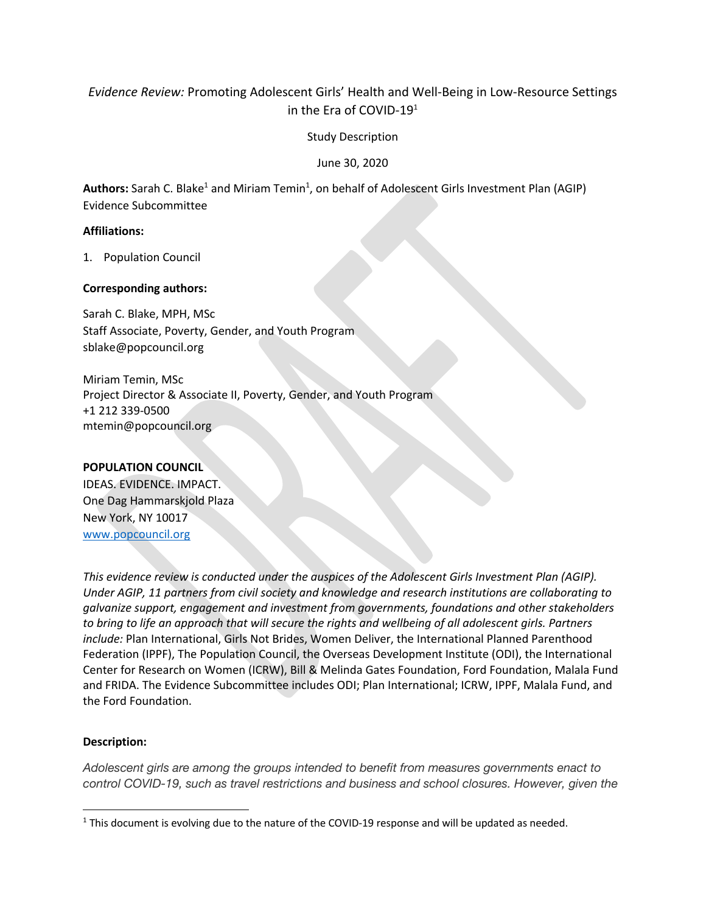## *Evidence Review:* Promoting Adolescent Girls' Health and Well-Being in Low-Resource Settings in the Era of COVID-191

Study Description

June 30, 2020

Authors: Sarah C. Blake<sup>1</sup> and Miriam Temin<sup>1</sup>, on behalf of Adolescent Girls Investment Plan (AGIP) Evidence Subcommittee

## **Affiliations:**

1. Population Council

## **Corresponding authors:**

Sarah C. Blake, MPH, MSc Staff Associate, Poverty, Gender, and Youth Program sblake@popcouncil.org

Miriam Temin, MSc Project Director & Associate II, Poverty, Gender, and Youth Program +1 212 339-0500 mtemin@popcouncil.org

#### **POPULATION COUNCIL**

IDEAS. EVIDENCE. IMPACT. One Dag Hammarskjold Plaza New York, NY 10017 www.popcouncil.org

*This evidence review is conducted under the auspices of the Adolescent Girls Investment Plan (AGIP). Under AGIP, 11 partners from civil society and knowledge and research institutions are collaborating to galvanize support, engagement and investment from governments, foundations and other stakeholders to bring to life an approach that will secure the rights and wellbeing of all adolescent girls. Partners include:* Plan International, Girls Not Brides, Women Deliver, the International Planned Parenthood Federation (IPPF), The Population Council, the Overseas Development Institute (ODI), the International Center for Research on Women (ICRW), Bill & Melinda Gates Foundation, Ford Foundation, Malala Fund and FRIDA. The Evidence Subcommittee includes ODI; Plan International; ICRW, IPPF, Malala Fund, and the Ford Foundation.

## **Description:**

*Adolescent girls are among the groups intended to benefit from measures governments enact to control COVID-19, such as travel restrictions and business and school closures. However, given the* 

 $1$  This document is evolving due to the nature of the COVID-19 response and will be updated as needed.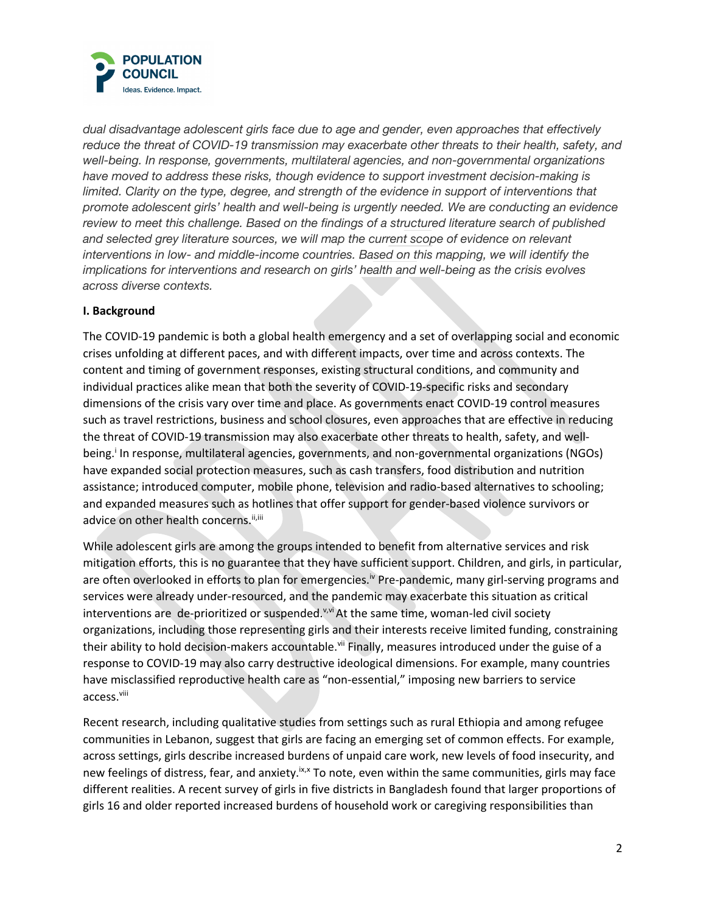

*dual disadvantage adolescent girls face due to age and gender, even approaches that effectively reduce the threat of COVID-19 transmission may exacerbate other threats to their health, safety, and well-being. In response, governments, multilateral agencies, and non-governmental organizations have moved to address these risks, though evidence to support investment decision-making is limited. Clarity on the type, degree, and strength of the evidence in support of interventions that promote adolescent girls' health and well-being is urgently needed. We are conducting an evidence review to meet this challenge. Based on the findings of a structured literature search of published and selected grey literature sources, we will map the current scope of evidence on relevant interventions in low- and middle-income countries. Based on this mapping, we will identify the implications for interventions and research on girls' health and well-being as the crisis evolves across diverse contexts.*

## **I. Background**

The COVID-19 pandemic is both a global health emergency and a set of overlapping social and economic crises unfolding at different paces, and with different impacts, over time and across contexts. The content and timing of government responses, existing structural conditions, and community and individual practices alike mean that both the severity of COVID-19-specific risks and secondary dimensions of the crisis vary over time and place. As governments enact COVID-19 control measures such as travel restrictions, business and school closures, even approaches that are effective in reducing the threat of COVID-19 transmission may also exacerbate other threats to health, safety, and wellbeing.<sup>i</sup> In response, multilateral agencies, governments, and non-governmental organizations (NGOs) have expanded social protection measures, such as cash transfers, food distribution and nutrition assistance; introduced computer, mobile phone, television and radio-based alternatives to schooling; and expanded measures such as hotlines that offer support for gender-based violence survivors or advice on other health concerns. ii,iii

While adolescent girls are among the groups intended to benefit from alternative services and risk mitigation efforts, this is no guarantee that they have sufficient support. Children, and girls, in particular, are often overlooked in efforts to plan for emergencies.<sup>iv</sup> Pre-pandemic, many girl-serving programs and services were already under-resourced, and the pandemic may exacerbate this situation as critical interventions are de-prioritized or suspended.<sup>v,vi</sup> At the same time, woman-led civil society organizations, including those representing girls and their interests receive limited funding, constraining their ability to hold decision-makers accountable.<sup>vii</sup> Finally, measures introduced under the guise of a response to COVID-19 may also carry destructive ideological dimensions. For example, many countries have misclassified reproductive health care as "non-essential," imposing new barriers to service access.<sup>viii</sup>

Recent research, including qualitative studies from settings such as rural Ethiopia and among refugee communities in Lebanon, suggest that girls are facing an emerging set of common effects. For example, across settings, girls describe increased burdens of unpaid care work, new levels of food insecurity, and new feelings of distress, fear, and anxiety.<sup>ix,x</sup> To note, even within the same communities, girls may face different realities. A recent survey of girls in five districts in Bangladesh found that larger proportions of girls 16 and older reported increased burdens of household work or caregiving responsibilities than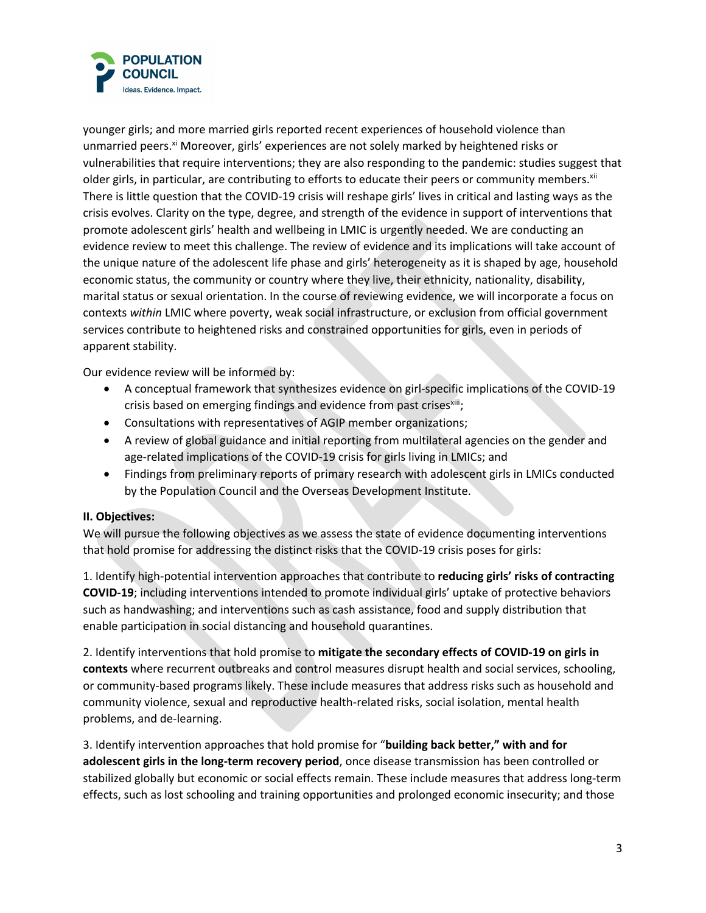

younger girls; and more married girls reported recent experiences of household violence than unmarried peers.<sup>xi</sup> Moreover, girls' experiences are not solely marked by heightened risks or vulnerabilities that require interventions; they are also responding to the pandemic: studies suggest that older girls, in particular, are contributing to efforts to educate their peers or community members.<sup>xii</sup> There is little question that the COVID-19 crisis will reshape girls' lives in critical and lasting ways as the crisis evolves. Clarity on the type, degree, and strength of the evidence in support of interventions that promote adolescent girls' health and wellbeing in LMIC is urgently needed. We are conducting an evidence review to meet this challenge. The review of evidence and its implications will take account of the unique nature of the adolescent life phase and girls' heterogeneity as it is shaped by age, household economic status, the community or country where they live, their ethnicity, nationality, disability, marital status or sexual orientation. In the course of reviewing evidence, we will incorporate a focus on contexts *within* LMIC where poverty, weak social infrastructure, or exclusion from official government services contribute to heightened risks and constrained opportunities for girls, even in periods of apparent stability.

Our evidence review will be informed by:

- A conceptual framework that synthesizes evidence on girl-specific implications of the COVID-19 crisis based on emerging findings and evidence from past crises<sup>xiii</sup>;
- Consultations with representatives of AGIP member organizations;
- A review of global guidance and initial reporting from multilateral agencies on the gender and age-related implications of the COVID-19 crisis for girls living in LMICs; and
- Findings from preliminary reports of primary research with adolescent girls in LMICs conducted by the Population Council and the Overseas Development Institute.

#### **II. Objectives:**

We will pursue the following objectives as we assess the state of evidence documenting interventions that hold promise for addressing the distinct risks that the COVID-19 crisis poses for girls:

1. Identify high-potential intervention approaches that contribute to **reducing girls' risks of contracting COVID-19**; including interventions intended to promote individual girls' uptake of protective behaviors such as handwashing; and interventions such as cash assistance, food and supply distribution that enable participation in social distancing and household quarantines.

2. Identify interventions that hold promise to **mitigate the secondary effects of COVID-19 on girls in contexts** where recurrent outbreaks and control measures disrupt health and social services, schooling, or community-based programs likely. These include measures that address risks such as household and community violence, sexual and reproductive health-related risks, social isolation, mental health problems, and de-learning.

3. Identify intervention approaches that hold promise for "**building back better," with and for adolescent girls in the long-term recovery period**, once disease transmission has been controlled or stabilized globally but economic or social effects remain. These include measures that address long-term effects, such as lost schooling and training opportunities and prolonged economic insecurity; and those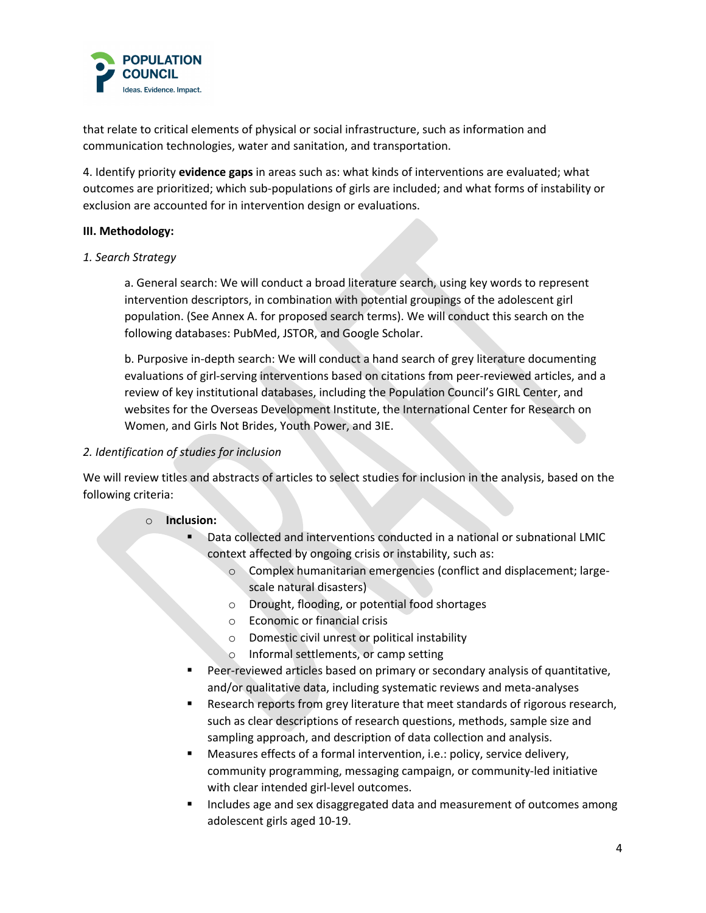

that relate to critical elements of physical or social infrastructure, such as information and communication technologies, water and sanitation, and transportation.

4. Identify priority **evidence gaps** in areas such as: what kinds of interventions are evaluated; what outcomes are prioritized; which sub-populations of girls are included; and what forms of instability or exclusion are accounted for in intervention design or evaluations.

#### **III. Methodology:**

#### *1. Search Strategy*

a. General search: We will conduct a broad literature search, using key words to represent intervention descriptors, in combination with potential groupings of the adolescent girl population. (See Annex A. for proposed search terms). We will conduct this search on the following databases: PubMed, JSTOR, and Google Scholar.

b. Purposive in-depth search: We will conduct a hand search of grey literature documenting evaluations of girl-serving interventions based on citations from peer-reviewed articles, and a review of key institutional databases, including the Population Council's GIRL Center, and websites for the Overseas Development Institute, the International Center for Research on Women, and Girls Not Brides, Youth Power, and 3IE.

#### *2. Identification of studies for inclusion*

We will review titles and abstracts of articles to select studies for inclusion in the analysis, based on the following criteria:

#### o **Inclusion:**

- Data collected and interventions conducted in a national or subnational LMIC context affected by ongoing crisis or instability, such as:
	- o Complex humanitarian emergencies (conflict and displacement; largescale natural disasters)
	- o Drought, flooding, or potential food shortages
	- o Economic or financial crisis
	- o Domestic civil unrest or political instability
	- o Informal settlements, or camp setting
- Peer-reviewed articles based on primary or secondary analysis of quantitative, and/or qualitative data, including systematic reviews and meta-analyses
- Research reports from grey literature that meet standards of rigorous research, such as clear descriptions of research questions, methods, sample size and sampling approach, and description of data collection and analysis.
- § Measures effects of a formal intervention, i.e.: policy, service delivery, community programming, messaging campaign, or community-led initiative with clear intended girl-level outcomes.
- § Includes age and sex disaggregated data and measurement of outcomes among adolescent girls aged 10-19.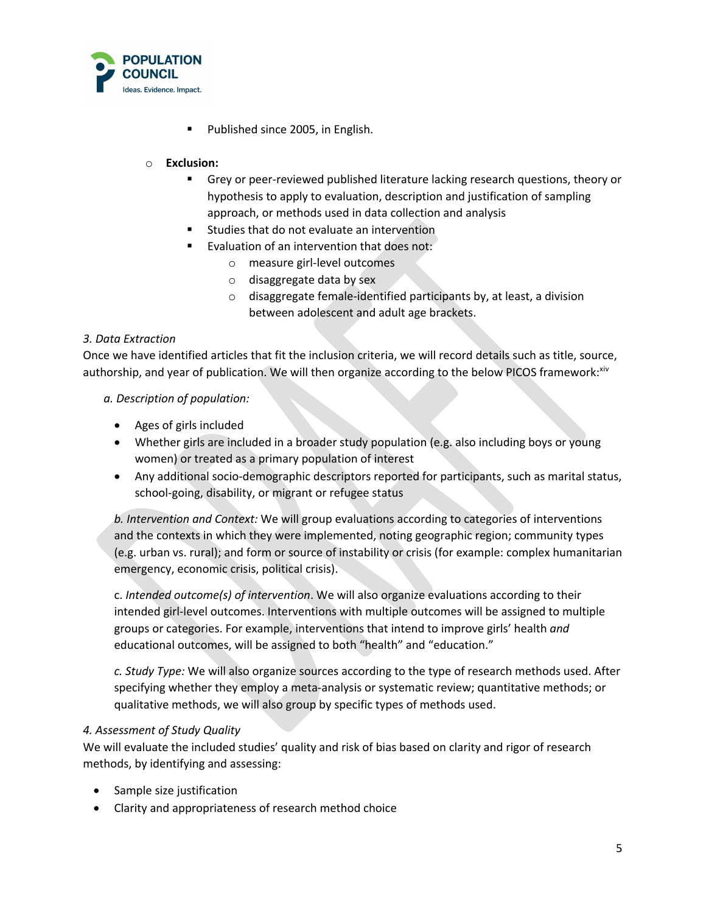

Published since 2005, in English.

## o **Exclusion:**

- § Grey or peer-reviewed published literature lacking research questions, theory or hypothesis to apply to evaluation, description and justification of sampling approach, or methods used in data collection and analysis
- § Studies that do not evaluate an intervention
- Evaluation of an intervention that does not:
	- o measure girl-level outcomes
	- o disaggregate data by sex
	- o disaggregate female-identified participants by, at least, a division between adolescent and adult age brackets.

## *3. Data Extraction*

Once we have identified articles that fit the inclusion criteria, we will record details such as title, source, authorship, and year of publication. We will then organize according to the below PICOS framework: xiv

## *a. Description of population:*

- Ages of girls included
- Whether girls are included in a broader study population (e.g. also including boys or young women) or treated as a primary population of interest
- Any additional socio-demographic descriptors reported for participants, such as marital status, school-going, disability, or migrant or refugee status

*b. Intervention and Context:* We will group evaluations according to categories of interventions and the contexts in which they were implemented, noting geographic region; community types (e.g. urban vs. rural); and form or source of instability or crisis (for example: complex humanitarian emergency, economic crisis, political crisis).

c. *Intended outcome(s) of intervention*. We will also organize evaluations according to their intended girl-level outcomes. Interventions with multiple outcomes will be assigned to multiple groups or categories. For example, interventions that intend to improve girls' health *and*  educational outcomes, will be assigned to both "health" and "education."

*c. Study Type:* We will also organize sources according to the type of research methods used. After specifying whether they employ a meta-analysis or systematic review; quantitative methods; or qualitative methods, we will also group by specific types of methods used.

#### *4. Assessment of Study Quality*

We will evaluate the included studies' quality and risk of bias based on clarity and rigor of research methods, by identifying and assessing:

- Sample size justification
- Clarity and appropriateness of research method choice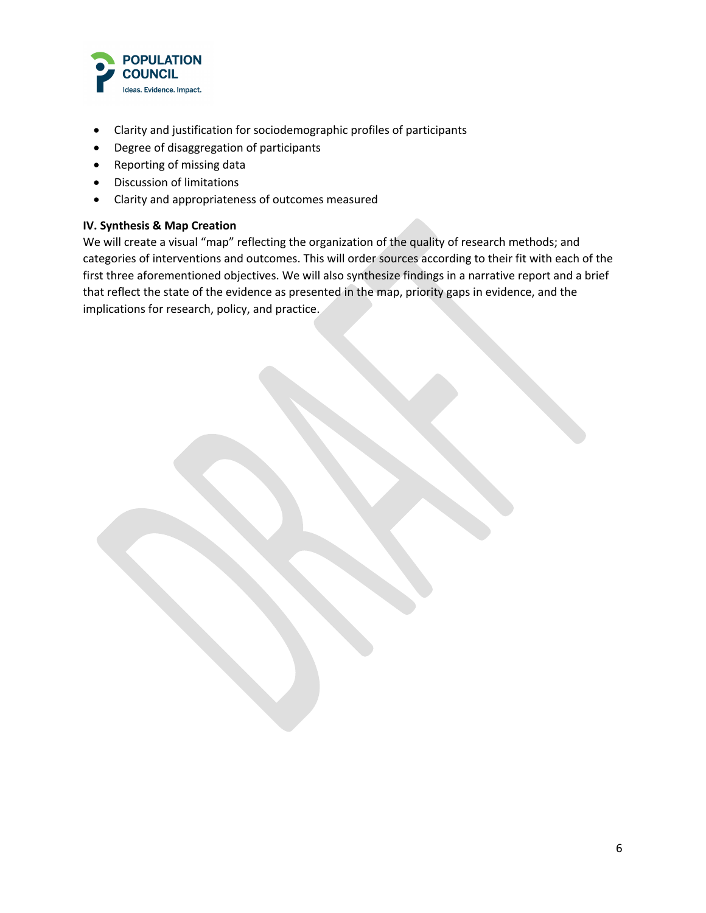

- Clarity and justification for sociodemographic profiles of participants
- Degree of disaggregation of participants
- Reporting of missing data
- Discussion of limitations
- Clarity and appropriateness of outcomes measured

#### **IV. Synthesis & Map Creation**

We will create a visual "map" reflecting the organization of the quality of research methods; and categories of interventions and outcomes. This will order sources according to their fit with each of the first three aforementioned objectives. We will also synthesize findings in a narrative report and a brief that reflect the state of the evidence as presented in the map, priority gaps in evidence, and the implications for research, policy, and practice.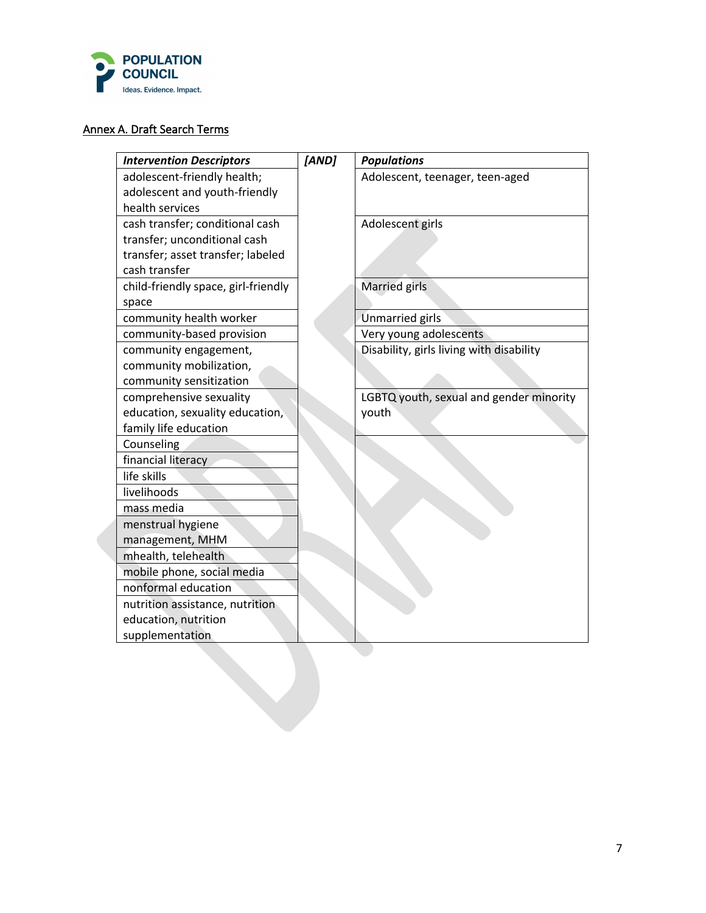

# Annex A. Draft Search Terms

| <b>Intervention Descriptors</b>     | [AND] | <b>Populations</b>                       |
|-------------------------------------|-------|------------------------------------------|
| adolescent-friendly health;         |       | Adolescent, teenager, teen-aged          |
| adolescent and youth-friendly       |       |                                          |
| health services                     |       |                                          |
| cash transfer; conditional cash     |       | Adolescent girls                         |
| transfer; unconditional cash        |       |                                          |
| transfer; asset transfer; labeled   |       |                                          |
| cash transfer                       |       |                                          |
| child-friendly space, girl-friendly |       | Married girls                            |
| space                               |       |                                          |
| community health worker             |       | <b>Unmarried girls</b>                   |
| community-based provision           |       | Very young adolescents                   |
| community engagement,               |       | Disability, girls living with disability |
| community mobilization,             |       |                                          |
| community sensitization             |       |                                          |
| comprehensive sexuality             |       | LGBTQ youth, sexual and gender minority  |
| education, sexuality education,     |       | youth                                    |
| family life education               |       |                                          |
| Counseling                          |       |                                          |
| financial literacy                  |       |                                          |
| life skills                         |       |                                          |
| livelihoods                         |       |                                          |
| mass media                          |       |                                          |
| menstrual hygiene                   |       |                                          |
| management, MHM                     |       |                                          |
| mhealth, telehealth                 |       |                                          |
| mobile phone, social media          |       |                                          |
| nonformal education                 |       |                                          |
| nutrition assistance, nutrition     |       |                                          |
| education, nutrition                |       |                                          |
| supplementation                     |       |                                          |
|                                     |       |                                          |
|                                     |       |                                          |
|                                     |       |                                          |
|                                     |       |                                          |
|                                     |       |                                          |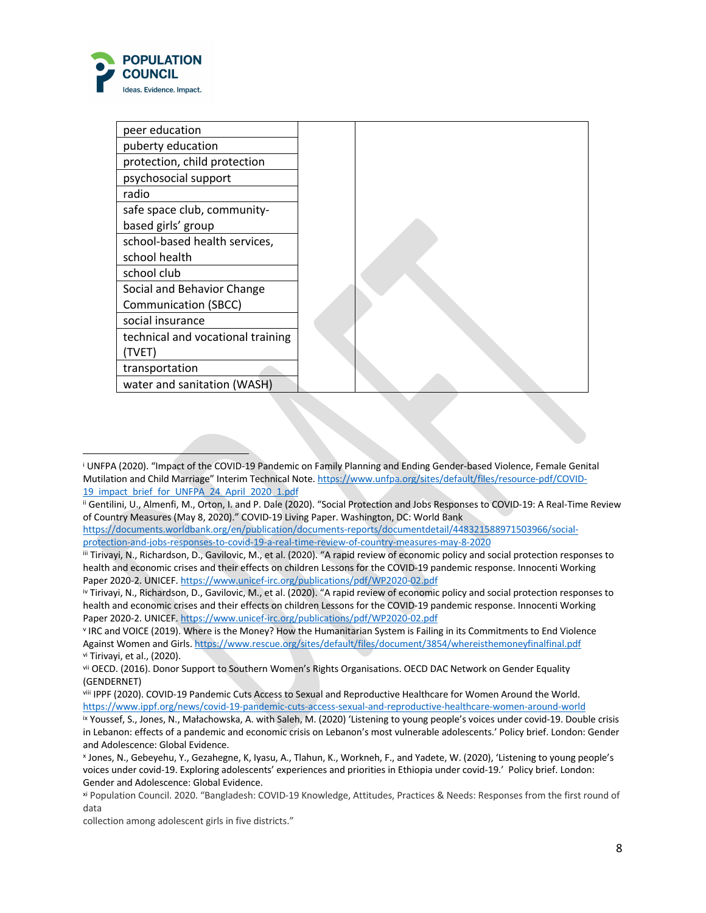

 $\overline{\phantom{a}}$ 

| peer education                    |  |
|-----------------------------------|--|
|                                   |  |
| puberty education                 |  |
| protection, child protection      |  |
| psychosocial support              |  |
| radio                             |  |
| safe space club, community-       |  |
| based girls' group                |  |
| school-based health services,     |  |
| school health                     |  |
| school club                       |  |
| Social and Behavior Change        |  |
| <b>Communication (SBCC)</b>       |  |
| social insurance                  |  |
| technical and vocational training |  |
| (TVET)                            |  |
| transportation                    |  |
| water and sanitation (WASH)       |  |

<sup>i</sup> UNFPA (2020). "Impact of the COVID-19 Pandemic on Family Planning and Ending Gender-based Violence, Female Genital Mutilation and Child Marriage" Interim Technical Note. https://www.unfpa.org/sites/default/files/resource-pdf/COVID-19\_impact\_brief\_for\_UNFPA\_24\_April\_2020\_1.pdf

ii Gentilini, U., Almenfi, M., Orton, I. and P. Dale (2020). "Social Protection and Jobs Responses to COVID-19: A Real-Time Review of Country Measures (May 8, 2020)." COVID-19 Living Paper. Washington, DC: World Bank

https://documents.worldbank.org/en/publication/documents-reports/documentdetail/448321588971503966/socialprotection-and-jobs-responses-to-covid-19-a-real-time-review-of-country-measures-may-8-2020

iii Tirivayi, N., Richardson, D., Gavilovic, M., et al. (2020). "A rapid review of economic policy and social protection responses to health and economic crises and their effects on children Lessons for the COVID-19 pandemic response. Innocenti Working Paper 2020-2. UNICEF. https://www.unicef-irc.org/publications/pdf/WP2020-02.pdf

iv Tirivayi, N., Richardson, D., Gavilovic, M., et al. (2020). "A rapid review of economic policy and social protection responses to health and economic crises and their effects on children Lessons for the COVID-19 pandemic response. Innocenti Working Paper 2020-2. UNICEF. https://www.unicef-irc.org/publications/pdf/WP2020-02.pdf

<sup>v</sup> IRC and VOICE (2019). Where is the Money? How the Humanitarian System is Failing in its Commitments to End Violence Against Women and Girls. https://www.rescue.org/sites/default/files/document/3854/whereisthemoneyfinalfinal.pdf vi Tirivayi, et al., (2020).

vii OECD. (2016). Donor Support to Southern Women's Rights Organisations. OECD DAC Network on Gender Equality (GENDERNET)

viii IPPF (2020). COVID-19 Pandemic Cuts Access to Sexual and Reproductive Healthcare for Women Around the World. https://www.ippf.org/news/covid-19-pandemic-cuts-access-sexual-and-reproductive-healthcare-women-around-world

ix Youssef, S., Jones, N., Małachowska, A. with Saleh, M. (2020) 'Listening to young people's voices under covid-19. Double crisis in Lebanon: effects of a pandemic and economic crisis on Lebanon's most vulnerable adolescents.' Policy brief. London: Gender and Adolescence: Global Evidence.

<sup>x</sup> Jones, N., Gebeyehu, Y., Gezahegne, K, Iyasu, A., Tlahun, K., Workneh, F., and Yadete, W. (2020), 'Listening to young people's voices under covid-19. Exploring adolescents' experiences and priorities in Ethiopia under covid-19.' Policy brief. London: Gender and Adolescence: Global Evidence.

xi Population Council. 2020. "Bangladesh: COVID-19 Knowledge, Attitudes, Practices & Needs: Responses from the first round of data

collection among adolescent girls in five districts."